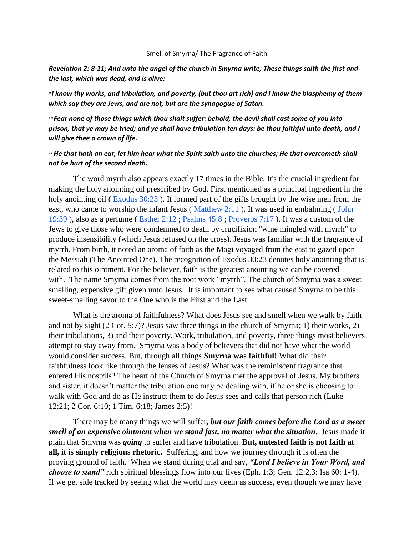## Smell of Smyrna/ The Fragrance of Faith

*Revelation 2: 8-11; And unto the angel of the church in Smyrna write; These things saith the first and the last, which was dead, and is alive;*

*<sup>9</sup>I know thy works, and tribulation, and poverty, (but thou art rich) and I know the blasphemy of them which say they are Jews, and are not, but are the synagogue of Satan.*

*<sup>10</sup>Fear none of those things which thou shalt suffer: behold, the devil shall cast some of you into prison, that ye may be tried; and ye shall have tribulation ten days: be thou faithful unto death, and I will give thee a crown of life.*

## *<sup>11</sup>He that hath an ear, let him hear what the Spirit saith unto the churches; He that overcometh shall not be hurt of the second death.*

The word myrrh also appears exactly 17 times in the Bible. It's the crucial ingredient for making the holy anointing oil prescribed by God. First mentioned as a principal ingredient in the holy anointing oil (Exodus 30:23). It formed part of the gifts brought by the wise men from the east, who came to worship the infant Jesus (Matthew 2:11). It was used in embalming (John [19:39](http://www.biblestudytools.com/john/19-39.html) ), also as a perfume ( [Esther 2:12](http://www.biblestudytools.com/esther/2-12.html) ; [Psalms 45:8](http://www.biblestudytools.com/psalms/45-8.html) ; [Proverbs 7:17](http://www.biblestudytools.com/proverbs/7-17.html) ). It was a custom of the Jews to give those who were condemned to death by crucifixion "wine mingled with myrrh" to produce insensibility (which Jesus refused on the cross). Jesus was familiar with the fragrance of myrrh. From birth, it noted an aroma of faith as the Magi voyaged from the east to gazed upon the Messiah (The Anointed One). The recognition of Exodus 30:23 denotes holy anointing that is related to this ointment. For the believer, faith is the greatest anointing we can be covered with. The name Smyrna comes from the root work "myrrh". The church of Smyrna was a sweet smelling, expensive gift given unto Jesus. It is important to see what caused Smyrna to be this sweet-smelling savor to the One who is the First and the Last.

 What is the aroma of faithfulness? What does Jesus see and smell when we walk by faith and not by sight (2 Cor. 5:7)? Jesus saw three things in the church of Smyrna; 1) their works, 2) their tribulations, 3) and their poverty. Work, tribulation, and poverty, three things most believers attempt to stay away from. Smyrna was a body of believers that did not have what the world would consider success. But, through all things **Smyrna was faithful!** What did their faithfulness look like through the lenses of Jesus? What was the reminiscent fragrance that entered His nostrils? The heart of the Church of Smyrna met the approval of Jesus. My brothers and sister, it doesn't matter the tribulation one may be dealing with, if he or she is choosing to walk with God and do as He instruct them to do Jesus sees and calls that person rich (Luke 12:21; 2 Cor. 6:10; 1 Tim. 6:18; James 2:5)!

There may be many things we will suffer*, but our faith comes before the Lord as a sweet smell of an expensive ointment when we stand fast, no matter what the situation*. Jesus made it plain that Smyrna was *going* to suffer and have tribulation. **But, untested faith is not faith at all, it is simply religious rhetoric.** Suffering, and how we journey through it is often the proving ground of faith. When we stand during trial and say, *"Lord I believe in Your Word, and choose to stand"* rich spiritual blessings flow into our lives (Eph. 1:3; Gen. 12:2,3: Isa 60: 1-4). If we get side tracked by seeing what the world may deem as success, even though we may have